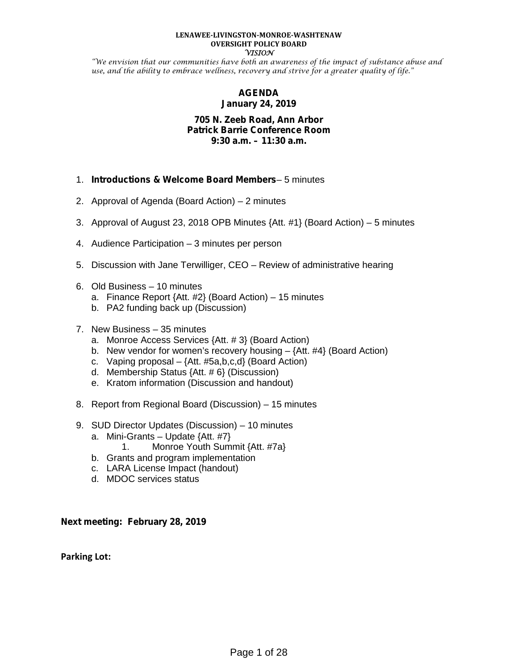#### **LENAWEE-LIVINGSTON-MONROE-WASHTENAW OVERSIGHT POLICY BOARD VISION**

"We envision that our communities have both an awareness of the impact of substance abuse and use, and the ability to embrace wellness, recovery and strive for a greater quality of life."

## **AGENDA January 24, 2019**

## **705 N. Zeeb Road, Ann Arbor Patrick Barrie Conference Room 9:30 a.m. – 11:30 a.m.**

- 1. *Introductions & Welcome Board Members* 5 minutes
- 2. Approval of Agenda (Board Action) 2 minutes
- 3. Approval of August 23, 2018 OPB Minutes {Att. #1} (Board Action) 5 minutes
- 4. Audience Participation 3 minutes per person
- 5. Discussion with Jane Terwilliger, CEO Review of administrative hearing
- 6. Old Business 10 minutes
	- a. Finance Report {Att. #2} (Board Action) 15 minutes
	- b. PA2 funding back up (Discussion)
- 7. New Business 35 minutes
	- a. Monroe Access Services {Att. # 3} (Board Action)
	- b. New vendor for women's recovery housing  $-$  {Att. #4} (Board Action)
	- c. Vaping proposal {Att. #5a,b,c,d} (Board Action)
	- d. Membership Status {Att. # 6} (Discussion)
	- e. Kratom information (Discussion and handout)
- 8. Report from Regional Board (Discussion) 15 minutes
- 9. SUD Director Updates (Discussion) 10 minutes
	- a. Mini-Grants Update {Att. #7}
		- 1. Monroe Youth Summit {Att. #7a}
	- b. Grants and program implementation
	- c. LARA License Impact (handout)
	- d. MDOC services status

**Next meeting: February 28, 2019**

**Parking Lot:**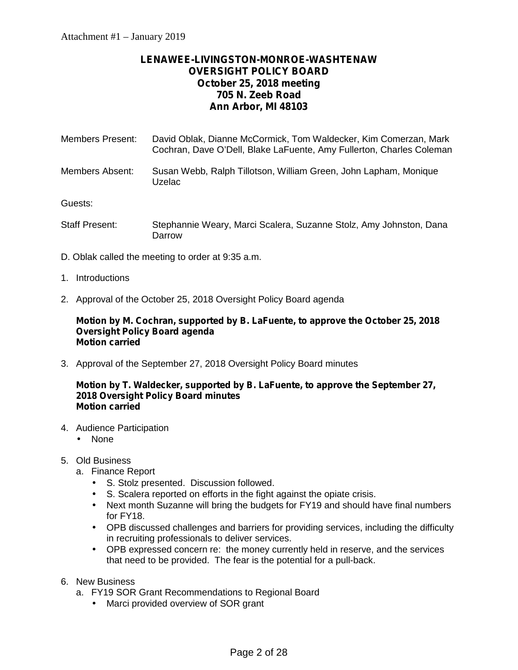## **LENAWEE-LIVINGSTON-MONROE-WASHTENAW OVERSIGHT POLICY BOARD October 25, 2018 meeting 705 N. Zeeb Road Ann Arbor, MI 48103**

| <b>Members Present:</b> | David Oblak, Dianne McCormick, Tom Waldecker, Kim Comerzan, Mark<br>Cochran, Dave O'Dell, Blake LaFuente, Amy Fullerton, Charles Coleman |
|-------------------------|------------------------------------------------------------------------------------------------------------------------------------------|
| Members Absent:         | Susan Webb, Ralph Tillotson, William Green, John Lapham, Monique<br>Uzelac                                                               |
| Guests:                 |                                                                                                                                          |
| <b>Staff Present:</b>   | Stephannie Weary, Marci Scalera, Suzanne Stolz, Amy Johnston, Dana<br>Darrow                                                             |

- D. Oblak called the meeting to order at 9:35 a.m.
- 1. Introductions
- 2. Approval of the October 25, 2018 Oversight Policy Board agenda

**Motion by M. Cochran, supported by B. LaFuente, to approve the October 25, 2018 Oversight Policy Board agenda Motion carried**

3. Approval of the September 27, 2018 Oversight Policy Board minutes

## **Motion by T. Waldecker, supported by B. LaFuente, to approve the September 27, 2018 Oversight Policy Board minutes Motion carried**

- 4. Audience Participation
	- None
- 5. Old Business
	- a. Finance Report
		- S. Stolz presented. Discussion followed.
		- S. Scalera reported on efforts in the fight against the opiate crisis.
		- Next month Suzanne will bring the budgets for FY19 and should have final numbers for FY18.
		- OPB discussed challenges and barriers for providing services, including the difficulty in recruiting professionals to deliver services.
		- OPB expressed concern re: the money currently held in reserve, and the services that need to be provided. The fear is the potential for a pull-back.
- 6. New Business
	- a. FY19 SOR Grant Recommendations to Regional Board
		- Marci provided overview of SOR grant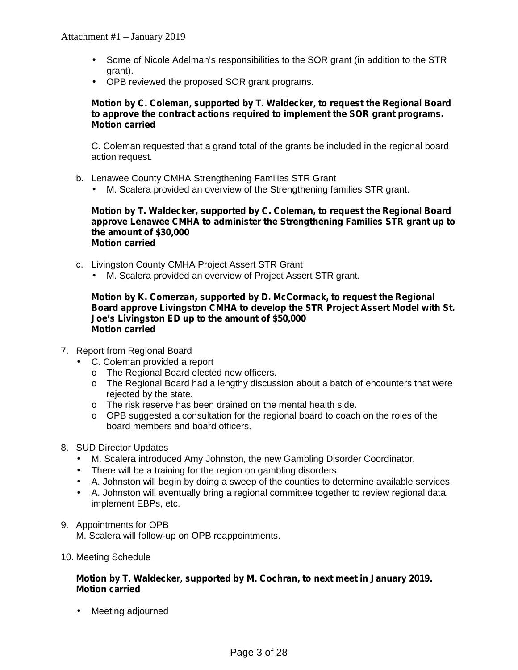- Some of Nicole Adelman's responsibilities to the SOR grant (in addition to the STR grant).
- OPB reviewed the proposed SOR grant programs.

## **Motion by C. Coleman, supported by T. Waldecker, to request the Regional Board to approve the contract actions required to implement the SOR grant programs. Motion carried**

C. Coleman requested that a grand total of the grants be included in the regional board action request.

- b. Lenawee County CMHA Strengthening Families STR Grant
	- M. Scalera provided an overview of the Strengthening families STR grant.

## **Motion by T. Waldecker, supported by C. Coleman, to request the Regional Board approve Lenawee CMHA to administer the Strengthening Families STR grant up to the amount of \$30,000 Motion carried**

- c. Livingston County CMHA Project Assert STR Grant
	- M. Scalera provided an overview of Project Assert STR grant.

## **Motion by K. Comerzan, supported by D. McCormack, to request the Regional Board approve Livingston CMHA to develop the STR Project Assert Model with St. Joe's Livingston ED up to the amount of \$50,000 Motion carried**

## 7. Report from Regional Board

- C. Coleman provided a report
	- o The Regional Board elected new officers.
	- $\circ$  The Regional Board had a lengthy discussion about a batch of encounters that were rejected by the state.
	- o The risk reserve has been drained on the mental health side.
	- $\circ$  OPB suggested a consultation for the regional board to coach on the roles of the board members and board officers.
- 8. SUD Director Updates
	- M. Scalera introduced Amy Johnston, the new Gambling Disorder Coordinator.
	- There will be a training for the region on gambling disorders.
	- A. Johnston will begin by doing a sweep of the counties to determine available services.
	- A. Johnston will eventually bring a regional committee together to review regional data, implement EBPs, etc.
- 9. Appointments for OPB

M. Scalera will follow-up on OPB reappointments.

10. Meeting Schedule

## **Motion by T. Waldecker, supported by M. Cochran, to next meet in January 2019. Motion carried**

Meeting adjourned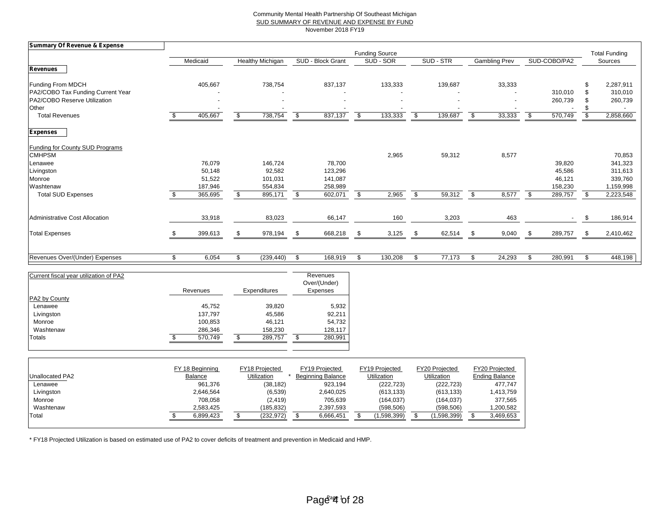#### Community Mental Health Partnership Of Southeast Michigan SUD SUMMARY OF REVENUE AND EXPENSE BY FUND

November 2018 FY19

| Summary Of Revenue & Expense                                                                    |    |                  |    |                   |      |                          |      |                       |     |           |    |                      |      |                    |      |                                 |
|-------------------------------------------------------------------------------------------------|----|------------------|----|-------------------|------|--------------------------|------|-----------------------|-----|-----------|----|----------------------|------|--------------------|------|---------------------------------|
|                                                                                                 |    |                  |    |                   |      |                          |      | <b>Funding Source</b> |     |           |    |                      |      |                    |      | <b>Total Funding</b>            |
| <b>Revenues</b>                                                                                 |    | Medicaid         |    | Healthy Michigan  |      | SUD - Block Grant        |      | SUD - SOR             |     | SUD - STR |    | <b>Gambling Prev</b> |      | SUD-COBO/PA2       |      | Sources                         |
| Funding From MDCH<br>PA2/COBO Tax Funding Current Year<br>PA2/COBO Reserve Utilization<br>Other |    | 405,667          |    | 738,754           |      | 837,137                  |      | 133,333               |     | 139,687   |    | 33,333               |      | 310,010<br>260,739 | \$   | 2,287,911<br>310,010<br>260,739 |
| <b>Total Revenues</b>                                                                           |    | 405,667          | \$ | 738,754           | \$   | 837,137                  | \$   | 133,333               | \$  | 139,687   | \$ | 33,333               | \$   | 570,749            | s,   | 2,858,660                       |
| <b>Expenses</b>                                                                                 |    |                  |    |                   |      |                          |      |                       |     |           |    |                      |      |                    |      |                                 |
| Funding for County SUD Programs<br><b>CMHPSM</b>                                                |    |                  |    |                   |      |                          |      | 2,965                 |     | 59,312    |    | 8,577                |      |                    |      | 70,853                          |
| Lenawee<br>Livingston                                                                           |    | 76,079<br>50,148 |    | 146,724<br>92,582 |      | 78,700<br>123,296        |      |                       |     |           |    |                      |      | 39,820<br>45,586   |      | 341,323<br>311,613              |
| Monroe                                                                                          |    | 51,522           |    | 101,031           |      | 141,087                  |      |                       |     |           |    |                      |      | 46,121             |      | 339,760                         |
| Washtenaw                                                                                       |    | 187,946          |    | 554,834           |      | 258,989                  |      |                       |     |           |    |                      |      | 158,230            |      | 1,159,998                       |
| <b>Total SUD Expenses</b>                                                                       |    | 365,695          | \$ | 895,171           | \$   | 602,071                  | \$   | 2,965                 | \$  | 59,312    | \$ | 8,577                | \$   | 289,757            | - \$ | 2,223,548                       |
| Administrative Cost Allocation                                                                  |    | 33,918           |    | 83,023            |      | 66,147                   |      | 160                   |     | 3,203     |    | 463                  |      |                    | \$   | 186,914                         |
| <b>Total Expenses</b>                                                                           | S  | 399,613          | S  | 978,194           | - \$ | 668,218                  | - \$ | 3,125                 | -\$ | 62,514    | -S | 9,040                | - \$ | 289,757            | \$   | 2,410,462                       |
| Revenues Over/(Under) Expenses                                                                  | \$ | 6,054            | \$ | (239, 440)        | \$.  | 168,919                  | \$   | 130,208               | \$  | 77,173    | \$ | 24,293               | \$   | 280,991            | \$   | 448,198                         |
|                                                                                                 |    |                  |    |                   |      |                          |      |                       |     |           |    |                      |      |                    |      |                                 |
| Current fiscal year utilization of PA2                                                          |    |                  |    |                   |      | Revenues<br>Over/(Under) |      |                       |     |           |    |                      |      |                    |      |                                 |
|                                                                                                 |    | Revenues         |    | Expenditures      |      | Expenses                 |      |                       |     |           |    |                      |      |                    |      |                                 |
| PA2 by County<br>$I$ crowse                                                                     |    | AEZEQ            |    | 20.820            |      | E 022                    |      |                       |     |           |    |                      |      |                    |      |                                 |

| Totals               | 570.749 | 289.757 | 280.991 |
|----------------------|---------|---------|---------|
| Washtenaw            | 286.346 | 158.230 | 128.117 |
| Monroe               | 100,853 | 46.121  | 54,732  |
| Livingston           | 137.797 | 45.586  | 92,211  |
| Lenawee              | 45.752  | 39,820  | 5,932   |
| <b>PA2 by County</b> |         |         |         |

|                 | FY 18 Beginning | FY18 Projected | FY19 Projected           | FY19 Projected | FY20 Projected | FY20 Projected        |
|-----------------|-----------------|----------------|--------------------------|----------------|----------------|-----------------------|
| Unallocated PA2 | Balance         | Utilization    | <b>Beginning Balance</b> | Utilization    | Utilization    | <b>Ending Balance</b> |
| Lenawee         | 961.376         | (38, 182)      | 923.194                  | (222, 723)     | (222, 723)     | 477.747               |
| Livingston      | 2,646,564       | (6,539)        | 2,640,025                | (613, 133)     | (613, 133)     | 1,413,759             |
| Monroe          | 708.058         | (2, 419)       | 705.639                  | (164, 037)     | (164, 037)     | 377,565               |
| Washtenaw       | 2.583.425       | (185.832)      | 2.397.593                | (598.506)      | (598, 506)     | .200,582              |
| Total           | 6.899.423       | (232, 972)     | 6,666,451                | 1,598,399)     | 598,399)       | 3,469,653             |

\* FY18 Projected Utilization is based on estimated use of PA2 to cover deficits of treatment and prevention in Medicaid and HMP.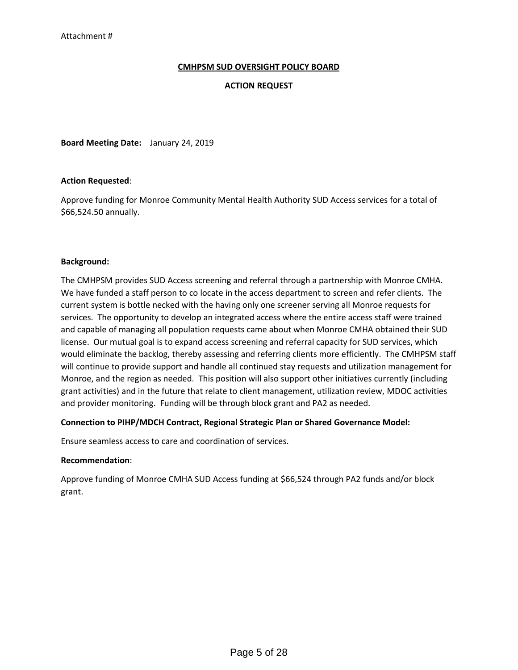## **CMHPSM SUD OVERSIGHT POLICY BOARD**

#### **ACTION REQUEST**

**Board Meeting Date:** January 24, 2019

#### **Action Requested**:

Approve funding for Monroe Community Mental Health Authority SUD Access services for a total of \$66,524.50 annually.

#### **Background:**

The CMHPSM provides SUD Access screening and referral through a partnership with Monroe CMHA. We have funded a staff person to co locate in the access department to screen and refer clients. The current system is bottle necked with the having only one screener serving all Monroe requests for services. The opportunity to develop an integrated access where the entire access staff were trained and capable of managing all population requests came about when Monroe CMHA obtained their SUD license. Our mutual goal is to expand access screening and referral capacity for SUD services, which would eliminate the backlog, thereby assessing and referring clients more efficiently. The CMHPSM staff will continue to provide support and handle all continued stay requests and utilization management for Monroe, and the region as needed. This position will also support other initiatives currently (including grant activities) and in the future that relate to client management, utilization review, MDOC activities and provider monitoring. Funding will be through block grant and PA2 as needed.

#### **Connection to PIHP/MDCH Contract, Regional Strategic Plan or Shared Governance Model:**

Ensure seamless access to care and coordination of services.

#### **Recommendation**:

Approve funding of Monroe CMHA SUD Access funding at \$66,524 through PA2 funds and/or block grant.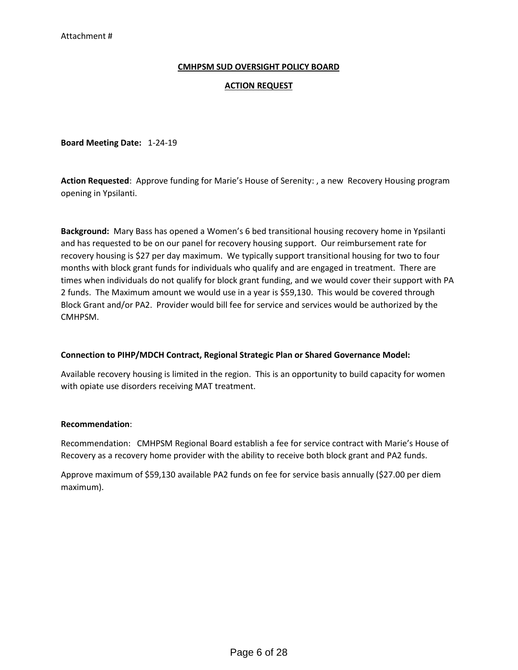## **CMHPSM SUD OVERSIGHT POLICY BOARD**

## **ACTION REQUEST**

**Board Meeting Date:** 1-24-19

**Action Requested**: Approve funding for Marie's House of Serenity: , a new Recovery Housing program opening in Ypsilanti.

**Background:** Mary Bass has opened a Women's 6 bed transitional housing recovery home in Ypsilanti and has requested to be on our panel for recovery housing support. Our reimbursement rate for recovery housing is \$27 per day maximum. We typically support transitional housing for two to four months with block grant funds for individuals who qualify and are engaged in treatment. There are times when individuals do not qualify for block grant funding, and we would cover their support with PA 2 funds. The Maximum amount we would use in a year is \$59,130. This would be covered through Block Grant and/or PA2. Provider would bill fee for service and services would be authorized by the CMHPSM.

#### **Connection to PIHP/MDCH Contract, Regional Strategic Plan or Shared Governance Model:**

Available recovery housing is limited in the region. This is an opportunity to build capacity for women with opiate use disorders receiving MAT treatment.

#### **Recommendation**:

Recommendation: CMHPSM Regional Board establish a fee for service contract with Marie's House of Recovery as a recovery home provider with the ability to receive both block grant and PA2 funds.

Approve maximum of \$59,130 available PA2 funds on fee for service basis annually (\$27.00 per diem maximum).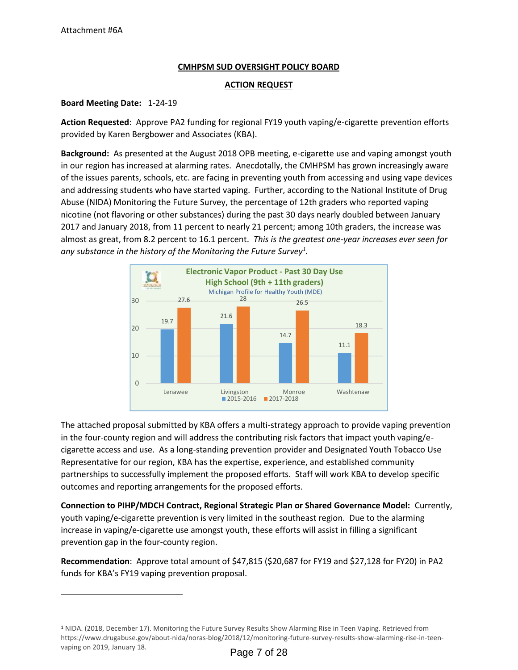## **CMHPSM SUD OVERSIGHT POLICY BOARD**

## **ACTION REQUEST**

## **Board Meeting Date:** 1-24-19

**Action Requested**: Approve PA2 funding for regional FY19 youth vaping/e-cigarette prevention efforts provided by Karen Bergbower and Associates (KBA).

**Background:** As presented at the August 2018 OPB meeting, e-cigarette use and vaping amongst youth in our region has increased at alarming rates. Anecdotally, the CMHPSM has grown increasingly aware of the issues parents, schools, etc. are facing in preventing youth from accessing and using vape devices and addressing students who have started vaping. Further, according to the National Institute of Drug Abuse (NIDA) Monitoring the Future Survey, the percentage of 12th graders who reported vaping nicotine (not flavoring or other substances) during the past 30 days nearly doubled between January 2017 and January 2018, from 11 percent to nearly 21 percent; among 10th graders, the increase was almost as great, from 8.2 percent to 16.1 percent. *This is the greatest one-year increases ever seen for any substance in the history of the Monitoring the Future Survey<sup>1</sup> .*



The attached proposal submitted by KBA offers a multi-strategy approach to provide vaping prevention in the four-county region and will address the contributing risk factors that impact youth vaping/e cigarette access and use. As a long-standing prevention provider and Designated Youth Tobacco Use Representative for our region, KBA has the expertise, experience, and established community partnerships to successfully implement the proposed efforts. Staff will work KBA to develop specific outcomes and reporting arrangements for the proposed efforts.

**Connection to PIHP/MDCH Contract, Regional Strategic Plan or Shared Governance Model:** Currently, youth vaping/e-cigarette prevention is very limited in the southeast region. Due to the alarming increase in vaping/e-cigarette use amongst youth, these efforts will assist in filling a significant prevention gap in the four-county region.

**Recommendation**: Approve total amount of \$47,815 (\$20,687 for FY19 and \$27,128 for FY20) in PA2 funds for KBA's FY19 vaping prevention proposal.

<sup>1</sup> NIDA. (2018, December 17). Monitoring the Future Survey Results Show Alarming Rise in Teen Vaping. Retrieved from https://www.drugabuse.gov/about-nida/noras-blog/2018/12/monitoring-future-survey-results-show-alarming-rise-in-teen vaping on 2019, January 18.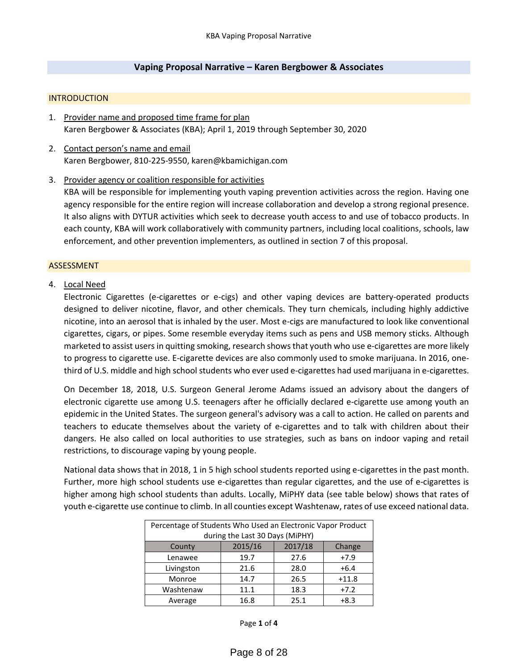## **Vaping Proposal Narrative – Karen Bergbower & Associates**

#### **INTRODUCTION**

- 1. Provider name and proposed time frame for plan Karen Bergbower & Associates (KBA); April 1, 2019 through September 30, 2020
- 2. Contact person's name and email Karen Bergbower, 810-225-9550, karen@kbamichigan.com
- 3. Provider agency or coalition responsible for activities

KBA will be responsible for implementing youth vaping prevention activities across the region. Having one agency responsible for the entire region will increase collaboration and develop a strong regional presence. It also aligns with DYTUR activities which seek to decrease youth access to and use of tobacco products. In each county, KBA will work collaboratively with community partners, including local coalitions, schools, law enforcement, and other prevention implementers, as outlined in section 7 of this proposal.

## ASSESSMENT

4. Local Need

Electronic Cigarettes (e-cigarettes or e-cigs) and other vaping devices are battery-operated products designed to deliver nicotine, flavor, and other chemicals. They turn chemicals, including highly addictive nicotine, into an aerosol that is inhaled by the user. Most e-cigs are manufactured to look like conventional cigarettes, cigars, or pipes. Some resemble everyday items such as pens and USB memory sticks. Although marketed to assist users in quitting smoking, research shows that youth who use e-cigarettes are more likely to progress to cigarette use. E-cigarette devices are also commonly used to smoke marijuana. In 2016, onethird of U.S. middle and high school students who ever used e-cigarettes had used marijuana in e-cigarettes.

On December 18, 2018, U.S. Surgeon General Jerome Adams issued an advisory about the dangers of electronic cigarette use among U.S. teenagers after he officially declared e-cigarette use among youth an epidemic in the United States. The surgeon general's advisory was a call to action. He called on parents and teachers to educate themselves about the variety of e-cigarettes and to talk with children about their dangers. He also called on local authorities to use strategies, such as bans on indoor vaping and retail restrictions, to discourage vaping by young people.

National data shows that in 2018, 1 in 5 high school students reported using e-cigarettes in the past month. Further, more high school students use e-cigarettes than regular cigarettes, and the use of e-cigarettes is higher among high school students than adults. Locally, MiPHY data (see table below) shows that rates of youth e-cigarette use continue to climb. In all counties except Washtenaw, rates of use exceed national data.

| Percentage of Students Who Used an Electronic Vapor Product<br>during the Last 30 Days (MiPHY) |         |         |         |  |  |  |  |
|------------------------------------------------------------------------------------------------|---------|---------|---------|--|--|--|--|
| County                                                                                         | 2015/16 | 2017/18 | Change  |  |  |  |  |
| Lenawee                                                                                        | 19.7    | 27.6    | $+7.9$  |  |  |  |  |
| Livingston                                                                                     | 21.6    | 28.0    | $+6.4$  |  |  |  |  |
| Monroe                                                                                         | 14.7    | 26.5    | $+11.8$ |  |  |  |  |
| Washtenaw                                                                                      | 11.1    | 18.3    | $+7.2$  |  |  |  |  |
| Average                                                                                        | 16.8    | 25.1    | $+8.3$  |  |  |  |  |

Page **1** of **4**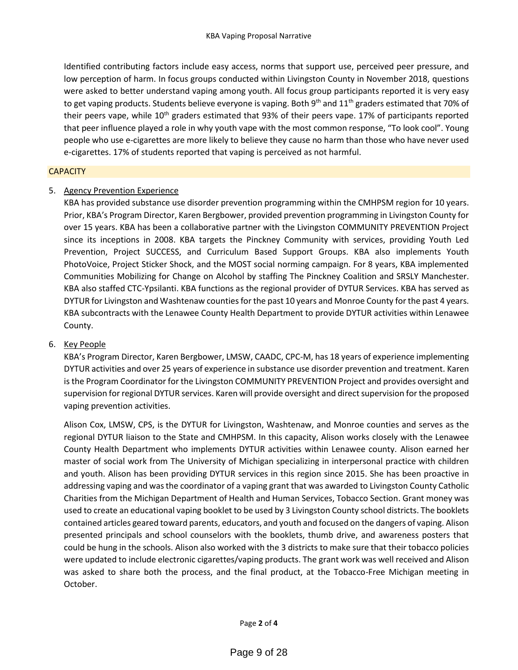Identified contributing factors include easy access, norms that support use, perceived peer pressure, and low perception of harm. In focus groups conducted within Livingston County in November 2018, questions were asked to better understand vaping among youth. All focus group participants reported it is very easy to get vaping products. Students believe everyone is vaping. Both 9<sup>th</sup> and 11<sup>th</sup> graders estimated that 70% of their peers vape, while 10<sup>th</sup> graders estimated that 93% of their peers vape. 17% of participants reported that peer influence played a role in why youth vape with the most common response, "To look cool". Young people who use e-cigarettes are more likely to believe they cause no harm than those who have never used e-cigarettes. 17% of students reported that vaping is perceived as not harmful.

## **CAPACITY**

## 5. Agency Prevention Experience

KBA has provided substance use disorder prevention programming within the CMHPSM region for 10 years. Prior, KBA's Program Director, Karen Bergbower, provided prevention programming in Livingston County for over 15 years. KBA has been a collaborative partner with the Livingston COMMUNITY PREVENTION Project since its inceptions in 2008. KBA targets the Pinckney Community with services, providing Youth Led Prevention, Project SUCCESS, and Curriculum Based Support Groups. KBA also implements Youth PhotoVoice, Project Sticker Shock, and the MOST social norming campaign. For 8 years, KBA implemented Communities Mobilizing for Change on Alcohol by staffing The Pinckney Coalition and SRSLY Manchester. KBA also staffed CTC-Ypsilanti. KBA functions as the regional provider of DYTUR Services. KBA has served as DYTUR for Livingston and Washtenaw counties for the past 10 years and Monroe County for the past 4 years. KBA subcontracts with the Lenawee County Health Department to provide DYTUR activities within Lenawee County.

## 6. Key People

KBA's Program Director, Karen Bergbower, LMSW, CAADC, CPC-M, has 18 years of experience implementing DYTUR activities and over 25 years of experience in substance use disorder prevention and treatment. Karen is the Program Coordinator for the Livingston COMMUNITY PREVENTION Project and provides oversight and supervision for regional DYTUR services. Karen will provide oversight and direct supervision for the proposed vaping prevention activities.

Alison Cox, LMSW, CPS, is the DYTUR for Livingston, Washtenaw, and Monroe counties and serves as the regional DYTUR liaison to the State and CMHPSM. In this capacity, Alison works closely with the Lenawee County Health Department who implements DYTUR activities within Lenawee county. Alison earned her master of social work from The University of Michigan specializing in interpersonal practice with children and youth. Alison has been providing DYTUR services in this region since 2015. She has been proactive in addressing vaping and was the coordinator of a vaping grant that was awarded to Livingston County Catholic Charities from the Michigan Department of Health and Human Services, Tobacco Section. Grant money was used to create an educational vaping booklet to be used by 3 Livingston County school districts. The booklets contained articles geared toward parents, educators, and youth and focused on the dangers of vaping. Alison presented principals and school counselors with the booklets, thumb drive, and awareness posters that could be hung in the schools. Alison also worked with the 3 districts to make sure that their tobacco policies were updated to include electronic cigarettes/vaping products. The grant work was well received and Alison was asked to share both the process, and the final product, at the Tobacco-Free Michigan meeting in October.

Page **2** of **4**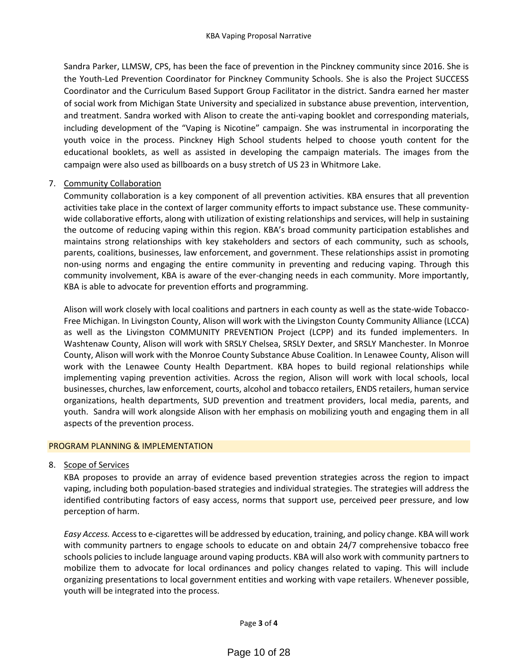Sandra Parker, LLMSW, CPS, has been the face of prevention in the Pinckney community since 2016. She is the Youth-Led Prevention Coordinator for Pinckney Community Schools. She is also the Project SUCCESS Coordinator and the Curriculum Based Support Group Facilitator in the district. Sandra earned her master of social work from Michigan State University and specialized in substance abuse prevention, intervention, and treatment. Sandra worked with Alison to create the anti-vaping booklet and corresponding materials, including development of the "Vaping is Nicotine" campaign. She was instrumental in incorporating the youth voice in the process. Pinckney High School students helped to choose youth content for the educational booklets, as well as assisted in developing the campaign materials. The images from the campaign were also used as billboards on a busy stretch of US 23 in Whitmore Lake.

## 7. Community Collaboration

Community collaboration is a key component of all prevention activities. KBA ensures that all prevention activities take place in the context of larger community efforts to impact substance use. These communitywide collaborative efforts, along with utilization of existing relationships and services, will help in sustaining the outcome of reducing vaping within this region. KBA's broad community participation establishes and maintains strong relationships with key stakeholders and sectors of each community, such as schools, parents, coalitions, businesses, law enforcement, and government. These relationships assist in promoting non-using norms and engaging the entire community in preventing and reducing vaping. Through this community involvement, KBA is aware of the ever-changing needs in each community. More importantly, KBA is able to advocate for prevention efforts and programming.

Alison will work closely with local coalitions and partners in each county as well as the state-wide Tobacco-Free Michigan. In Livingston County, Alison will work with the Livingston County Community Alliance (LCCA) as well as the Livingston COMMUNITY PREVENTION Project (LCPP) and its funded implementers. In Washtenaw County, Alison will work with SRSLY Chelsea, SRSLY Dexter, and SRSLY Manchester. In Monroe County, Alison will work with the Monroe County Substance Abuse Coalition. In Lenawee County, Alison will work with the Lenawee County Health Department. KBA hopes to build regional relationships while implementing vaping prevention activities. Across the region, Alison will work with local schools, local businesses, churches, law enforcement, courts, alcohol and tobacco retailers, ENDS retailers, human service organizations, health departments, SUD prevention and treatment providers, local media, parents, and youth. Sandra will work alongside Alison with her emphasis on mobilizing youth and engaging them in all aspects of the prevention process.

## PROGRAM PLANNING & IMPLEMENTATION

8. Scope of Services

KBA proposes to provide an array of evidence based prevention strategies across the region to impact vaping, including both population-based strategies and individual strategies. The strategies will address the identified contributing factors of easy access, norms that support use, perceived peer pressure, and low perception of harm.

*Easy Access.* Access to e-cigarettes will be addressed by education, training, and policy change. KBA will work with community partners to engage schools to educate on and obtain 24/7 comprehensive tobacco free schools policies to include language around vaping products. KBA will also work with community partners to mobilize them to advocate for local ordinances and policy changes related to vaping. This will include organizing presentations to local government entities and working with vape retailers. Whenever possible, youth will be integrated into the process.

Page **3** of **4**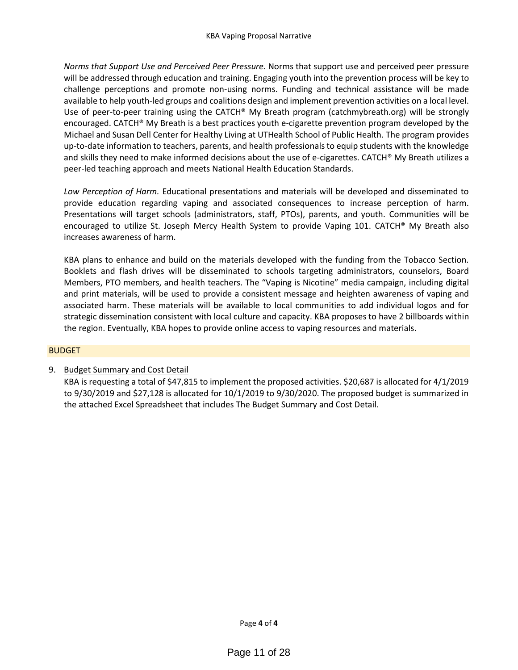*Norms that Support Use and Perceived Peer Pressure.* Norms that support use and perceived peer pressure will be addressed through education and training. Engaging youth into the prevention process will be key to challenge perceptions and promote non-using norms. Funding and technical assistance will be made available to help youth-led groups and coalitions design and implement prevention activities on a local level. Use of peer-to-peer training using the CATCH® My Breath program (catchmybreath.org) will be strongly encouraged. CATCH® My Breath is a best practices youth e-cigarette prevention program developed by the Michael and Susan Dell Center for Healthy Living at UTHealth School of Public Health. The program provides up-to-date information to teachers, parents, and health professionals to equip students with the knowledge and skills they need to make informed decisions about the use of e-cigarettes. CATCH® My Breath utilizes a peer-led teaching approach and meets National Health Education Standards.

*Low Perception of Harm.* Educational presentations and materials will be developed and disseminated to provide education regarding vaping and associated consequences to increase perception of harm. Presentations will target schools (administrators, staff, PTOs), parents, and youth. Communities will be encouraged to utilize St. Joseph Mercy Health System to provide Vaping 101. CATCH® My Breath also increases awareness of harm.

KBA plans to enhance and build on the materials developed with the funding from the Tobacco Section. Booklets and flash drives will be disseminated to schools targeting administrators, counselors, Board Members, PTO members, and health teachers. The "Vaping is Nicotine" media campaign, including digital and print materials, will be used to provide a consistent message and heighten awareness of vaping and associated harm. These materials will be available to local communities to add individual logos and for strategic dissemination consistent with local culture and capacity. KBA proposes to have 2 billboards within the region. Eventually, KBA hopes to provide online access to vaping resources and materials.

## **BUDGET**

## 9. Budget Summary and Cost Detail

KBA is requesting a total of \$47,815 to implement the proposed activities. \$20,687 is allocated for 4/1/2019 to 9/30/2019 and \$27,128 is allocated for 10/1/2019 to 9/30/2020. The proposed budget is summarized in the attached Excel Spreadsheet that includes The Budget Summary and Cost Detail.

Page **4** of **4**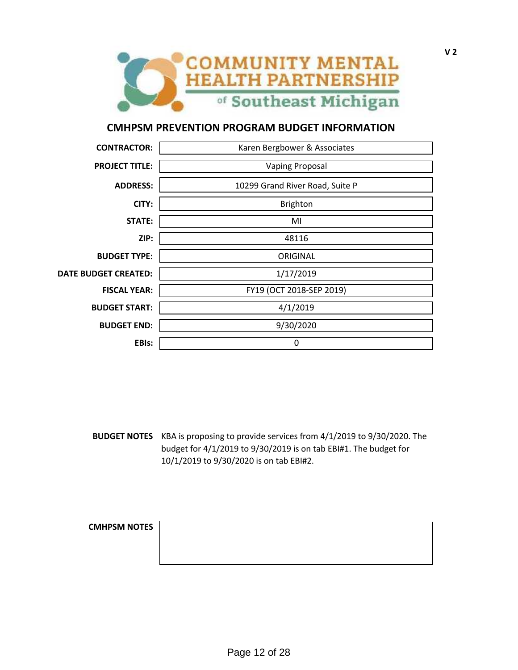

# **CMHPSM PREVENTION PROGRAM BUDGET INFORMATION**

| <b>CONTRACTOR:</b>          | Karen Bergbower & Associates    |
|-----------------------------|---------------------------------|
| <b>PROJECT TITLE:</b>       | <b>Vaping Proposal</b>          |
| <b>ADDRESS:</b>             | 10299 Grand River Road, Suite P |
| CITY:                       | Brighton                        |
| <b>STATE:</b>               | MI                              |
| ZIP:                        | 48116                           |
| <b>BUDGET TYPE:</b>         | ORIGINAL                        |
| <b>DATE BUDGET CREATED:</b> | 1/17/2019                       |
| <b>FISCAL YEAR:</b>         | FY19 (OCT 2018-SEP 2019)        |
| <b>BUDGET START:</b>        | 4/1/2019                        |
| <b>BUDGET END:</b>          | 9/30/2020                       |
| EBIs:                       | 0                               |

**BUDGET NOTES** KBA is proposing to provide services from 4/1/2019 to 9/30/2020. The budget for 4/1/2019 to 9/30/2019 is on tab EBI#1. The budget for 10/1/2019 to 9/30/2020 is on tab EBI#2.

# **CMHPSM NOTES**